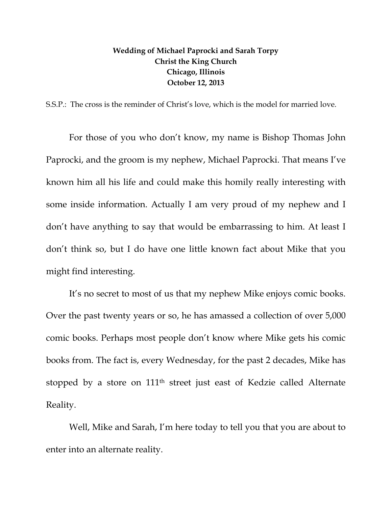## **Wedding of Michael Paprocki and Sarah Torpy Christ the King Church Chicago, Illinois October 12, 2013**

S.S.P.: The cross is the reminder of Christ's love, which is the model for married love.

For those of you who don't know, my name is Bishop Thomas John Paprocki, and the groom is my nephew, Michael Paprocki. That means I've known him all his life and could make this homily really interesting with some inside information. Actually I am very proud of my nephew and I don't have anything to say that would be embarrassing to him. At least I don't think so, but I do have one little known fact about Mike that you might find interesting.

It's no secret to most of us that my nephew Mike enjoys comic books. Over the past twenty years or so, he has amassed a collection of over 5,000 comic books. Perhaps most people don't know where Mike gets his comic books from. The fact is, every Wednesday, for the past 2 decades, Mike has stopped by a store on 111th street just east of Kedzie called Alternate Reality.

Well, Mike and Sarah, I'm here today to tell you that you are about to enter into an alternate reality.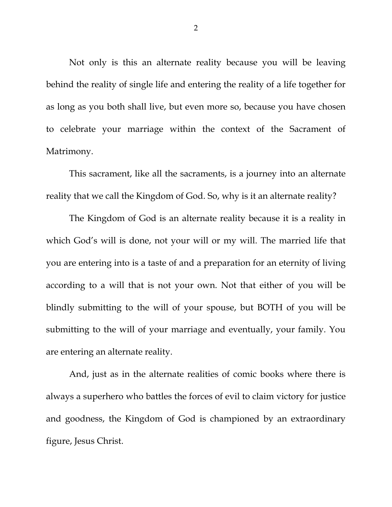Not only is this an alternate reality because you will be leaving behind the reality of single life and entering the reality of a life together for as long as you both shall live, but even more so, because you have chosen to celebrate your marriage within the context of the Sacrament of Matrimony.

This sacrament, like all the sacraments, is a journey into an alternate reality that we call the Kingdom of God. So, why is it an alternate reality?

The Kingdom of God is an alternate reality because it is a reality in which God's will is done, not your will or my will. The married life that you are entering into is a taste of and a preparation for an eternity of living according to a will that is not your own. Not that either of you will be blindly submitting to the will of your spouse, but BOTH of you will be submitting to the will of your marriage and eventually, your family. You are entering an alternate reality.

And, just as in the alternate realities of comic books where there is always a superhero who battles the forces of evil to claim victory for justice and goodness, the Kingdom of God is championed by an extraordinary figure, Jesus Christ.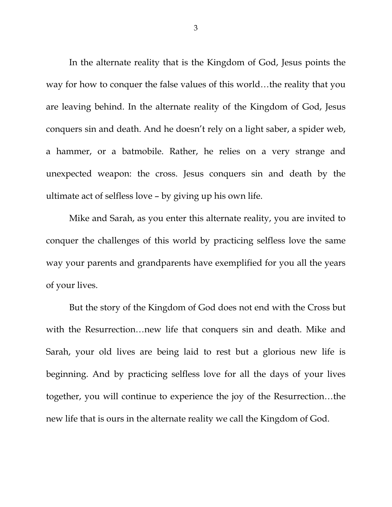In the alternate reality that is the Kingdom of God, Jesus points the way for how to conquer the false values of this world…the reality that you are leaving behind. In the alternate reality of the Kingdom of God, Jesus conquers sin and death. And he doesn't rely on a light saber, a spider web, a hammer, or a batmobile. Rather, he relies on a very strange and unexpected weapon: the cross. Jesus conquers sin and death by the ultimate act of selfless love – by giving up his own life.

Mike and Sarah, as you enter this alternate reality, you are invited to conquer the challenges of this world by practicing selfless love the same way your parents and grandparents have exemplified for you all the years of your lives.

But the story of the Kingdom of God does not end with the Cross but with the Resurrection…new life that conquers sin and death. Mike and Sarah, your old lives are being laid to rest but a glorious new life is beginning. And by practicing selfless love for all the days of your lives together, you will continue to experience the joy of the Resurrection…the new life that is ours in the alternate reality we call the Kingdom of God.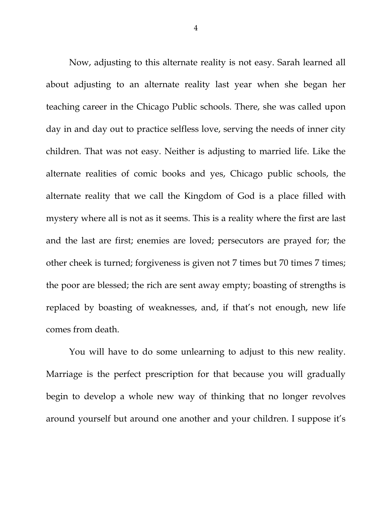Now, adjusting to this alternate reality is not easy. Sarah learned all about adjusting to an alternate reality last year when she began her teaching career in the Chicago Public schools. There, she was called upon day in and day out to practice selfless love, serving the needs of inner city children. That was not easy. Neither is adjusting to married life. Like the alternate realities of comic books and yes, Chicago public schools, the alternate reality that we call the Kingdom of God is a place filled with mystery where all is not as it seems. This is a reality where the first are last and the last are first; enemies are loved; persecutors are prayed for; the other cheek is turned; forgiveness is given not 7 times but 70 times 7 times; the poor are blessed; the rich are sent away empty; boasting of strengths is replaced by boasting of weaknesses, and, if that's not enough, new life comes from death.

You will have to do some unlearning to adjust to this new reality. Marriage is the perfect prescription for that because you will gradually begin to develop a whole new way of thinking that no longer revolves around yourself but around one another and your children. I suppose it's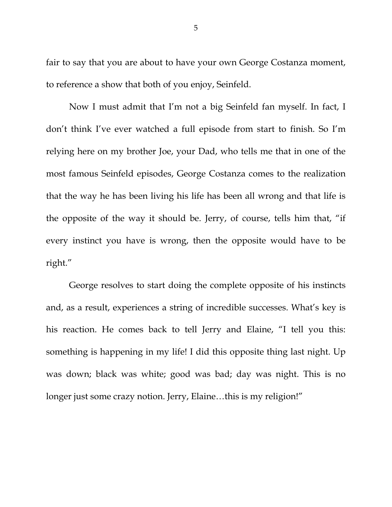fair to say that you are about to have your own George Costanza moment, to reference a show that both of you enjoy, Seinfeld.

Now I must admit that I'm not a big Seinfeld fan myself. In fact, I don't think I've ever watched a full episode from start to finish. So I'm relying here on my brother Joe, your Dad, who tells me that in one of the most famous Seinfeld episodes, George Costanza comes to the realization that the way he has been living his life has been all wrong and that life is the opposite of the way it should be. Jerry, of course, tells him that, "if every instinct you have is wrong, then the opposite would have to be right."

George resolves to start doing the complete opposite of his instincts and, as a result, experiences a string of incredible successes. What's key is his reaction. He comes back to tell Jerry and Elaine, "I tell you this: something is happening in my life! I did this opposite thing last night. Up was down; black was white; good was bad; day was night. This is no longer just some crazy notion. Jerry, Elaine…this is my religion!"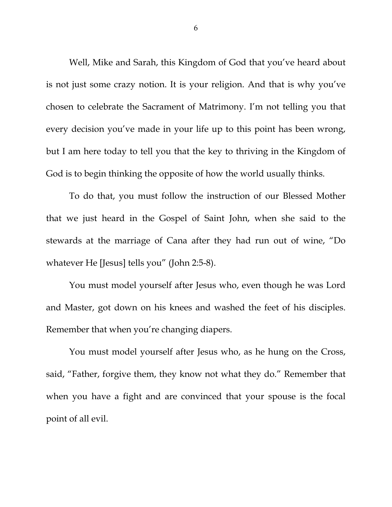Well, Mike and Sarah, this Kingdom of God that you've heard about is not just some crazy notion. It is your religion. And that is why you've chosen to celebrate the Sacrament of Matrimony. I'm not telling you that every decision you've made in your life up to this point has been wrong, but I am here today to tell you that the key to thriving in the Kingdom of God is to begin thinking the opposite of how the world usually thinks.

To do that, you must follow the instruction of our Blessed Mother that we just heard in the Gospel of Saint John, when she said to the stewards at the marriage of Cana after they had run out of wine, "Do whatever He [Jesus] tells you" (John 2:5-8).

You must model yourself after Jesus who, even though he was Lord and Master, got down on his knees and washed the feet of his disciples. Remember that when you're changing diapers.

You must model yourself after Jesus who, as he hung on the Cross, said, "Father, forgive them, they know not what they do." Remember that when you have a fight and are convinced that your spouse is the focal point of all evil.